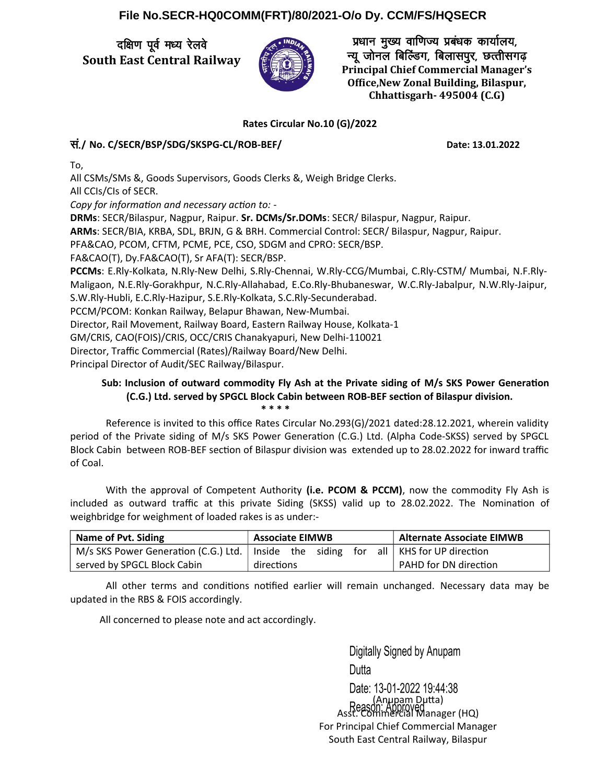## **File No.SECR-HQ0COMM(FRT)/80/2021-O/o Dy. CCM/FS/HQSECR**

दक्षिण पूर्व मध्य रेलवे **South East Central Railway**



प्रधान मुख्य वाणिज्य प्रबंधक कार्यालय, न्यू जोनल बिल्डिंग, बिलासपूर, छत्तीसगढ़ **Principal Chief Commercial Manager's Office,New Zonal Building, Bilaspur, Chhattisgarh- 495004 (C.G)**

## **Rates Circular No.10 (G)/2022**

## la-**/ No. C/SECR/BSP/SDG/SKSPG-CL/ROB-BEF/ Date: 13.01.2022**

To,

All CSMs/SMs &, Goods Supervisors, Goods Clerks &, Weigh Bridge Clerks. All CCIs/CIs of SECR.

Copy for information and necessary action to: -

**DRMs**: SECR/Bilaspur, Nagpur, Raipur. **Sr. DCMs/Sr.DOMs**: SECR/ Bilaspur, Nagpur, Raipur.

**ARMs**: SECR/BIA, KRBA, SDL, BRJN, G & BRH. Commercial Control: SECR/ Bilaspur, Nagpur, Raipur.

PFA&CAO, PCOM, CFTM, PCME, PCE, CSO, SDGM and CPRO: SECR/BSP.

FA&CAO(T), Dy.FA&CAO(T), Sr AFA(T): SECR/BSP.

**PCCMs**: E.Rly-Kolkata, N.Rly-New Delhi, S.Rly-Chennai, W.Rly-CCG/Mumbai, C.Rly-CSTM/ Mumbai, N.F.Rly-Maligaon, N.E.Rly-Gorakhpur, N.C.Rly-Allahabad, E.Co.Rly-Bhubaneswar, W.C.Rly-Jabalpur, N.W.Rly-Jaipur, S.W.Rly-Hubli, E.C.Rly-Hazipur, S.E.Rly-Kolkata, S.C.Rly-Secunderabad.

PCCM/PCOM: Konkan Railway, Belapur Bhawan, New-Mumbai.

Director, Rail Movement, Railway Board, Eastern Railway House, Kolkata-1

GM/CRIS, CAO(FOIS)/CRIS, OCC/CRIS Chanakyapuri, New Delhi-110021

Director, Traffic Commercial (Rates)/Railway Board/New Delhi.

Principal Director of Audit/SEC Railway/Bilaspur.

## **Sub: Inclusion of outward commodity Fly Ash at the Private siding of M/s SKS Power Generaton (C.G.) Ltd. served by SPGCL Block Cabin between ROB-BEF secton of Bilaspur division. \* \* \* \***

Reference is invited to this office Rates Circular No.293(G)/2021 dated:28.12.2021, wherein validity period of the Private siding of M/s SKS Power Generaton (C.G.) Ltd. (Alpha Code-SKSS) served by SPGCL Block Cabin between ROB-BEF section of Bilaspur division was extended up to 28.02.2022 for inward traffic of Coal.

With the approval of Competent Authority **(i.e. PCOM & PCCM)**, now the commodity Fly Ash is included as outward traffic at this private Siding (SKSS) valid up to 28.02.2022. The Nominaton of weighbridge for weighment of loaded rakes is as under:-

| Name of Pvt. Siding                                          | <b>Associate EIMWB</b> |  |  |  | <b>Alternate Associate EIMWB</b> |
|--------------------------------------------------------------|------------------------|--|--|--|----------------------------------|
| M/s SKS Power Generation (C.G.) Ltd.   Inside the siding for |                        |  |  |  | all   KHS for UP direction       |
| served by SPGCL Block Cabin                                  | directions             |  |  |  | PAHD for DN direction            |

All other terms and conditions notified earlier will remain unchanged. Necessary data may be updated in the RBS & FOIS accordingly.

All concerned to please note and act accordingly.

Digitally Signed by Anupam Dutta Date: 13-01-2022 19:44:38 (Anupam Duta) Asst. Commercial Manager (HQ) For Principal Chief Commercial Manager South East Central Railway, Bilaspur